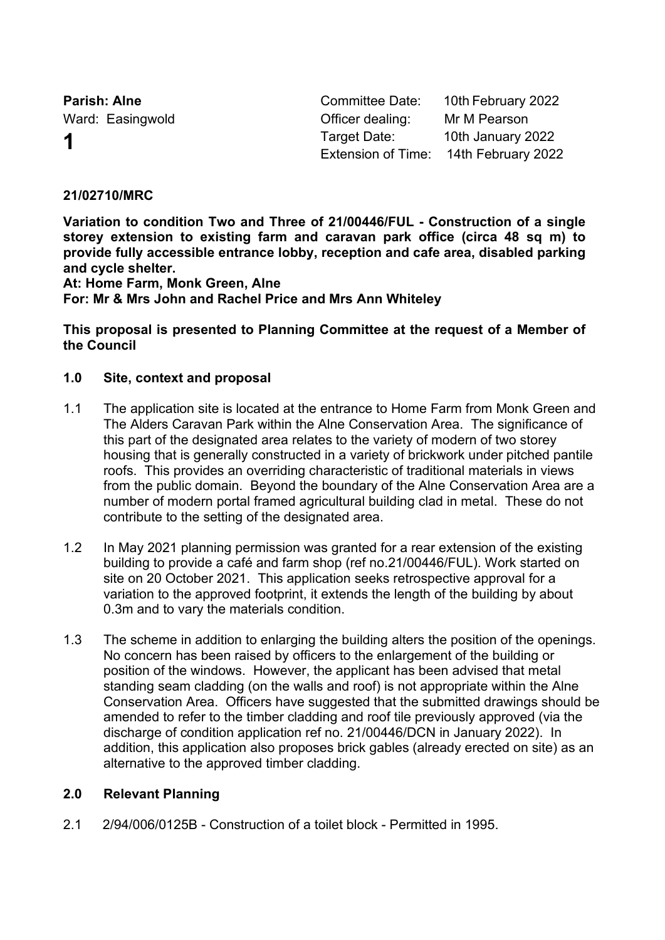**Parish: Alne Committee Date:** 10th February 2022 Ward: Easingwold **Communist Communist Communist Communist Communist Communist Communist Communist Communist Communist Communist Communist Communist Communist Communist Communist Communist Communist Communist Communist Comm 1** Target Date: 10th January 2022 Extension of Time: 14th February 2022

## **21/02710/MRC**

**Variation to condition Two and Three of 21/00446/FUL - Construction of a single storey extension to existing farm and caravan park office (circa 48 sq m) to provide fully accessible entrance lobby, reception and cafe area, disabled parking and cycle shelter.**

**At: Home Farm, Monk Green, Alne**

**For: Mr & Mrs John and Rachel Price and Mrs Ann Whiteley**

**This proposal is presented to Planning Committee at the request of a Member of the Council**

## **1.0 Site, context and proposal**

- 1.1 The application site is located at the entrance to Home Farm from Monk Green and The Alders Caravan Park within the Alne Conservation Area. The significance of this part of the designated area relates to the variety of modern of two storey housing that is generally constructed in a variety of brickwork under pitched pantile roofs. This provides an overriding characteristic of traditional materials in views from the public domain. Beyond the boundary of the Alne Conservation Area are a number of modern portal framed agricultural building clad in metal. These do not contribute to the setting of the designated area.
- 1.2 In May 2021 planning permission was granted for a rear extension of the existing building to provide a café and farm shop (ref no.21/00446/FUL). Work started on site on 20 October 2021. This application seeks retrospective approval for a variation to the approved footprint, it extends the length of the building by about 0.3m and to vary the materials condition.
- 1.3 The scheme in addition to enlarging the building alters the position of the openings. No concern has been raised by officers to the enlargement of the building or position of the windows. However, the applicant has been advised that metal standing seam cladding (on the walls and roof) is not appropriate within the Alne Conservation Area. Officers have suggested that the submitted drawings should be amended to refer to the timber cladding and roof tile previously approved (via the discharge of condition application ref no. 21/00446/DCN in January 2022). In addition, this application also proposes brick gables (already erected on site) as an alternative to the approved timber cladding.

# **2.0 Relevant Planning**

2.1 2/94/006/0125B - Construction of a toilet block - Permitted in 1995.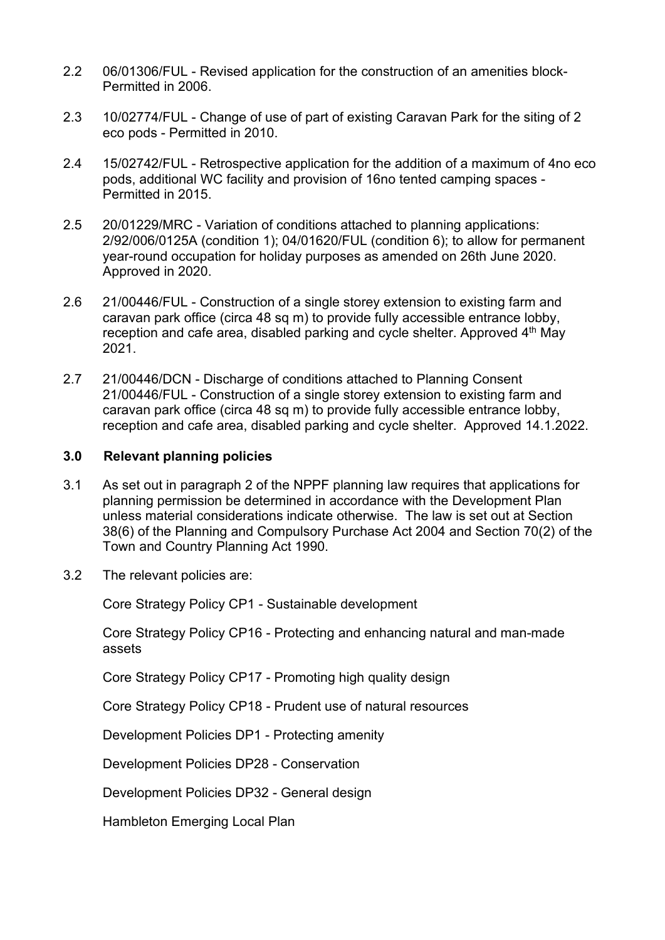- 2.2 06/01306/FUL Revised application for the construction of an amenities block-Permitted in 2006.
- 2.3 10/02774/FUL Change of use of part of existing Caravan Park for the siting of 2 eco pods - Permitted in 2010.
- 2.4 15/02742/FUL Retrospective application for the addition of a maximum of 4no eco pods, additional WC facility and provision of 16no tented camping spaces - Permitted in 2015.
- 2.5 20/01229/MRC Variation of conditions attached to planning applications: 2/92/006/0125A (condition 1); 04/01620/FUL (condition 6); to allow for permanent year-round occupation for holiday purposes as amended on 26th June 2020. Approved in 2020.
- 2.6 21/00446/FUL Construction of a single storey extension to existing farm and caravan park office (circa 48 sq m) to provide fully accessible entrance lobby, reception and cafe area, disabled parking and cycle shelter. Approved  $4<sup>th</sup>$  May 2021.
- 2.7 21/00446/DCN Discharge of conditions attached to Planning Consent 21/00446/FUL - Construction of a single storey extension to existing farm and caravan park office (circa 48 sq m) to provide fully accessible entrance lobby, reception and cafe area, disabled parking and cycle shelter. Approved 14.1.2022.

## **3.0 Relevant planning policies**

- 3.1 As set out in paragraph 2 of the NPPF planning law requires that applications for planning permission be determined in accordance with the Development Plan unless material considerations indicate otherwise. The law is set out at Section 38(6) of the Planning and Compulsory Purchase Act 2004 and Section 70(2) of the Town and Country Planning Act 1990.
- 3.2 The relevant policies are:

Core Strategy Policy CP1 - Sustainable development

Core Strategy Policy CP16 - Protecting and enhancing natural and man-made assets

Core Strategy Policy CP17 - Promoting high quality design

Core Strategy Policy CP18 - Prudent use of natural resources

Development Policies DP1 - Protecting amenity

Development Policies DP28 - Conservation

Development Policies DP32 - General design

Hambleton Emerging Local Plan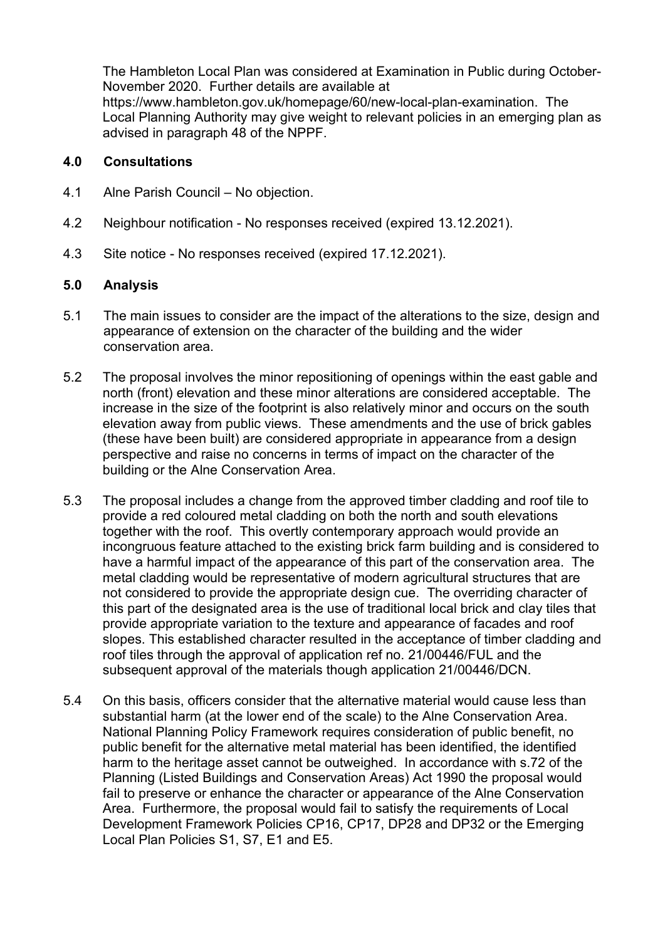The Hambleton Local Plan was considered at Examination in Public during October-November 2020. Further details are available at https://www.hambleton.gov.uk/homepage/60/new-local-plan-examination. The Local Planning Authority may give weight to relevant policies in an emerging plan as advised in paragraph 48 of the NPPF.

#### **4.0 Consultations**

- 4.1 Alne Parish Council No objection.
- 4.2 Neighbour notification No responses received (expired 13.12.2021).
- 4.3 Site notice No responses received (expired 17.12.2021).

### **5.0 Analysis**

- 5.1 The main issues to consider are the impact of the alterations to the size, design and appearance of extension on the character of the building and the wider conservation area.
- 5.2 The proposal involves the minor repositioning of openings within the east gable and north (front) elevation and these minor alterations are considered acceptable. The increase in the size of the footprint is also relatively minor and occurs on the south elevation away from public views. These amendments and the use of brick gables (these have been built) are considered appropriate in appearance from a design perspective and raise no concerns in terms of impact on the character of the building or the Alne Conservation Area.
- 5.3 The proposal includes a change from the approved timber cladding and roof tile to provide a red coloured metal cladding on both the north and south elevations together with the roof. This overtly contemporary approach would provide an incongruous feature attached to the existing brick farm building and is considered to have a harmful impact of the appearance of this part of the conservation area. The metal cladding would be representative of modern agricultural structures that are not considered to provide the appropriate design cue. The overriding character of this part of the designated area is the use of traditional local brick and clay tiles that provide appropriate variation to the texture and appearance of facades and roof slopes. This established character resulted in the acceptance of timber cladding and roof tiles through the approval of application ref no. 21/00446/FUL and the subsequent approval of the materials though application 21/00446/DCN.
- 5.4 On this basis, officers consider that the alternative material would cause less than substantial harm (at the lower end of the scale) to the Alne Conservation Area. National Planning Policy Framework requires consideration of public benefit, no public benefit for the alternative metal material has been identified, the identified harm to the heritage asset cannot be outweighed. In accordance with s.72 of the Planning (Listed Buildings and Conservation Areas) Act 1990 the proposal would fail to preserve or enhance the character or appearance of the Alne Conservation Area. Furthermore, the proposal would fail to satisfy the requirements of Local Development Framework Policies CP16, CP17, DP28 and DP32 or the Emerging Local Plan Policies S1, S7, E1 and E5.